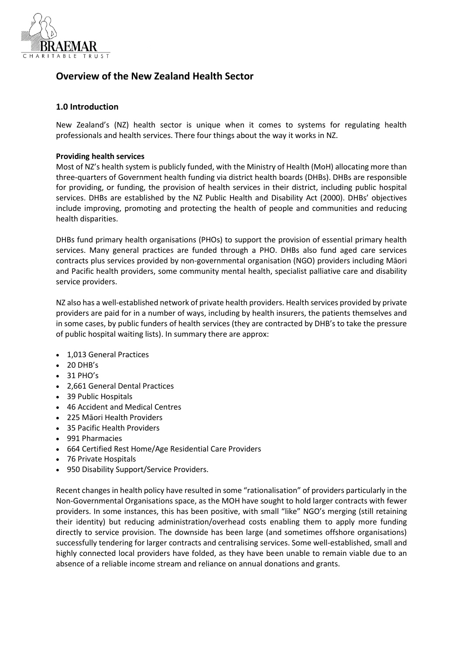

# **Overview of the New Zealand Health Sector**

## **1.0 Introduction**

New Zealand's (NZ) health sector is unique when it comes to systems for regulating health professionals and health services. There four things about the way it works in NZ.

### **Providing health services**

Most of NZ's health system is publicly funded, with the Ministry of Health (MoH) allocating more than three-quarters of Government health funding via district health boards (DHBs). DHBs are responsible for providing, or funding, the provision of health services in their district, including public hospital services. DHBs are established by the NZ Public Health and Disability Act (2000). DHBs' objectives include improving, promoting and protecting the health of people and communities and reducing health disparities.

DHBs fund primary health organisations (PHOs) to support the provision of essential primary health services. Many general practices are funded through a PHO. DHBs also fund aged care services contracts plus services provided by non-governmental organisation (NGO) providers including Māori and Pacific health providers, some community mental health, specialist palliative care and disability service providers.

NZ also has a well-established network of private health providers. Health services provided by private providers are paid for in a number of ways, including by health insurers, the patients themselves and in some cases, by public funders of health services (they are contracted by DHB's to take the pressure of public hospital waiting lists). In summary there are approx:

- 1,013 General Practices
- $\bullet$  20 DHB's
- $-31$  PHO's
- 2,661 General Dental Practices
- 39 Public Hospitals
- 46 Accident and Medical Centres
- 225 Māori Health Providers
- 35 Pacific Health Providers
- 991 Pharmacies
- 664 Certified Rest Home/Age Residential Care Providers
- 76 Private Hospitals
- 950 Disability Support/Service Providers.

Recent changes in health policy have resulted in some "rationalisation" of providers particularly in the Non-Governmental Organisations space, as the MOH have sought to hold larger contracts with fewer providers. In some instances, this has been positive, with small "like" NGO's merging (still retaining their identity) but reducing administration/overhead costs enabling them to apply more funding directly to service provision. The downside has been large (and sometimes offshore organisations) successfully tendering for larger contracts and centralising services. Some well-established, small and highly connected local providers have folded, as they have been unable to remain viable due to an absence of a reliable income stream and reliance on annual donations and grants.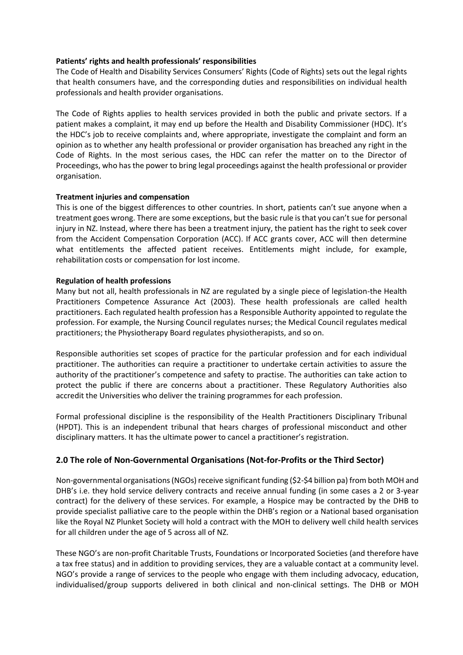### **Patients' rights and health professionals' responsibilities**

The Code of Health and Disability Services [Consumers'](https://www.hdc.org.nz/your-rights/about-the-code/code-of-health-and-disability-services-consumers-rights/) Rights (Code of Rights) sets out the legal rights that health consumers have, and the corresponding duties and responsibilities on individual health professionals and health provider organisations.

The Code of Rights applies to health services provided in both the public and private sectors. If a patient makes a complaint, it may end up before the Health and Disability Commissioner (HDC). It's the HDC's job to receive complaints and, where appropriate, investigate the complaint and form an opinion as to whether any health professional or provider organisation has breached any right in the Code of Rights. In the most serious cases, the HDC can refer the matter on to the Director of Proceedings, who has the power to bring legal proceedings against the health professional or provider organisation.

## **Treatment injuries and compensation**

This is one of the biggest differences to other countries. In short, patients can't sue anyone when a treatment goes wrong. There are some exceptions, but the basic rule is that you can't sue for personal injury in NZ. Instead, where there has been a treatment injury, the patient has the right to seek cover from the Accident Compensation Corporation (ACC). If ACC grants cover, ACC will then determine what entitlements the affected patient receives. Entitlements might include, for example, rehabilitation costs or compensation for lost income.

## **Regulation of health professions**

Many but not all, health professionals in NZ are regulated by a single piece of legislation-the Health Practitioners Competence Assurance Act (2003). These health professionals are called health practitioners. Each regulated health profession has a [Responsible](https://www.health.govt.nz/our-work/regulation-health-and-disability-system/health-practitioners-competence-assurance-act/responsible-authorities-under-act) Authority appointed to regulate the profession. For example, the Nursing Council regulates nurses; the Medical Council regulates medical practitioners; the Physiotherapy Board regulates physiotherapists, and so on.

Responsible authorities set scopes of practice for the particular profession and for each individual practitioner. The authorities can require a practitioner to undertake certain activities to assure the authority of the practitioner's competence and safety to practise. The authorities can take action to protect the public if there are concerns about a practitioner. These Regulatory Authorities also accredit the Universities who deliver the training programmes for each profession.

Formal professional discipline is the responsibility of the Health Practitioners Disciplinary Tribunal (HPDT). This is an independent tribunal that hears charges of professional misconduct and other disciplinary matters. It has the ultimate power to cancel a practitioner's registration.

# **2.0 The role of Non-Governmental Organisations (Not-for-Profits or the Third Sector)**

Non-governmental organisations (NGOs) receive significant funding (\$2-\$4 billion pa) from both MOH and DHB's i.e. they hold service delivery contracts and receive annual funding (in some cases a 2 or 3-year contract) for the delivery of these services. For example, a Hospice may be contracted by the DHB to provide specialist palliative care to the people within the DHB's region or a National based organisation like the Royal NZ Plunket Society will hold a contract with the MOH to delivery well child health services for all children under the age of 5 across all of NZ.

These NGO's are non-profit Charitable Trusts, Foundations or Incorporated Societies (and therefore have a tax free status) and in addition to providing services, they are a valuable contact at a community level. NGO's provide a range of services to the people who engage with them including advocacy, education, individualised/group supports delivered in both clinical and non-clinical settings. The DHB or MOH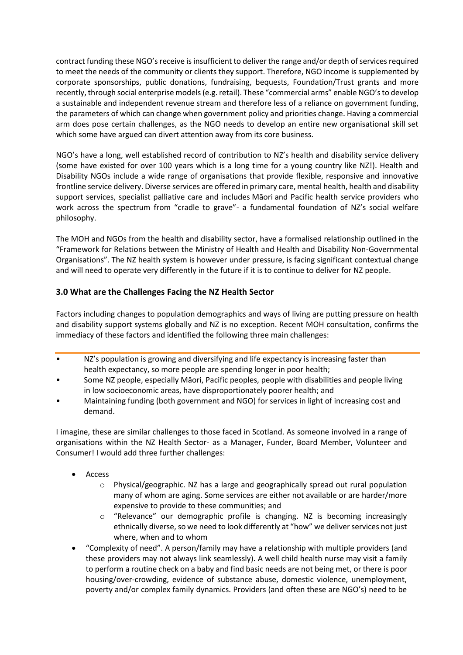contract funding these NGO's receive is insufficient to deliver the range and/or depth of services required to meet the needs of the community or clients they support. Therefore, NGO income is supplemented by corporate sponsorships, public donations, fundraising, bequests, Foundation/Trust grants and more recently, through social enterprise models(e.g. retail). These "commercial arms" enable NGO'sto develop a sustainable and independent revenue stream and therefore less of a reliance on government funding, the parameters of which can change when government policy and priorities change. Having a commercial arm does pose certain challenges, as the NGO needs to develop an entire new organisational skill set which some have argued can divert attention away from its core business.

NGO's have a long, well established record of contribution to NZ's health and disability service delivery (some have existed for over 100 years which is a long time for a young country like NZ!). Health and Disability NGOs include a wide range of organisations that provide flexible, responsive and innovative frontline service delivery. Diverse services are offered in primary care, mental health, health and disability support services, specialist palliative care and includes Māori and Pacific health service providers who work across the spectrum from "cradle to grave"- a fundamental foundation of NZ's social welfare philosophy.

The MOH and NGOs from the health and disability sector, have a formalised relationship outlined in the "Framework for Relations between the Ministry of Health and Health and Disability Non-Governmental Organisations". The NZ health system is however under pressure, is facing significant contextual change and will need to operate very differently in the future if it is to continue to deliver for NZ people.

# **3.0 What are the Challenges Facing the NZ Health Sector**

Factors including changes to population demographics and ways of living are putting pressure on health and disability support systems globally and NZ is no exception. Recent MOH consultation, confirms the immediacy of these factors and identified the following three main challenges:

- NZ's population is growing and diversifying and life expectancy is increasing faster than health expectancy, so more people are spending longer in poor health;
- Some NZ people, especially Māori, Pacific peoples, people with disabilities and people living in low socioeconomic areas, have disproportionately poorer health; and
- Maintaining funding (both government and NGO) for services in light of increasing cost and demand.

I imagine, these are similar challenges to those faced in Scotland. As someone involved in a range of organisations within the NZ Health Sector- as a Manager, Funder, Board Member, Volunteer and Consumer! I would add three further challenges:

- Access
	- $\circ$  Physical/geographic. NZ has a large and geographically spread out rural population many of whom are aging. Some services are either not available or are harder/more expensive to provide to these communities; and
	- o "Relevance" our demographic profile is changing. NZ is becoming increasingly ethnically diverse, so we need to look differently at "how" we deliver services not just where, when and to whom
- "Complexity of need". A person/family may have a relationship with multiple providers (and these providers may not always link seamlessly). A well child health nurse may visit a family to perform a routine check on a baby and find basic needs are not being met, or there is poor housing/over-crowding, evidence of substance abuse, domestic violence, unemployment, poverty and/or complex family dynamics. Providers (and often these are NGO's) need to be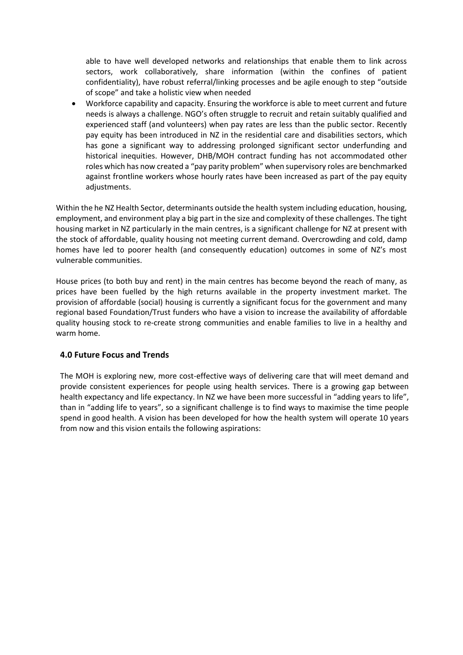able to have well developed networks and relationships that enable them to link across sectors, work collaboratively, share information (within the confines of patient confidentiality), have robust referral/linking processes and be agile enough to step "outside of scope" and take a holistic view when needed

 Workforce capability and capacity. Ensuring the workforce is able to meet current and future needs is always a challenge. NGO's often struggle to recruit and retain suitably qualified and experienced staff (and volunteers) when pay rates are less than the public sector. Recently pay equity has been introduced in NZ in the residential care and disabilities sectors, which has gone a significant way to addressing prolonged significant sector underfunding and historical inequities. However, DHB/MOH contract funding has not accommodated other roles which has now created a "pay parity problem" when supervisory roles are benchmarked against frontline workers whose hourly rates have been increased as part of the pay equity adjustments.

Within the he NZ Health Sector, determinants outside the health system including education, housing, employment, and environment play a big part in the size and complexity of these challenges. The tight housing market in NZ particularly in the main centres, is a significant challenge for NZ at present with the stock of affordable, quality housing not meeting current demand. Overcrowding and cold, damp homes have led to poorer health (and consequently education) outcomes in some of NZ's most vulnerable communities.

House prices (to both buy and rent) in the main centres has become beyond the reach of many, as prices have been fuelled by the high returns available in the property investment market. The provision of affordable (social) housing is currently a significant focus for the government and many regional based Foundation/Trust funders who have a vision to increase the availability of affordable quality housing stock to re-create strong communities and enable families to live in a healthy and warm home.

# **4.0 Future Focus and Trends**

The MOH is exploring new, more cost-effective ways of delivering care that will meet demand and provide consistent experiences for people using health services. There is a growing gap between health expectancy and life expectancy. In NZ we have been more successful in "adding years to life". than in "adding life to years", so a significant challenge is to find ways to maximise the time people spend in good health. A vision has been developed for how the health system will operate 10 years from now and this vision entails the following aspirations: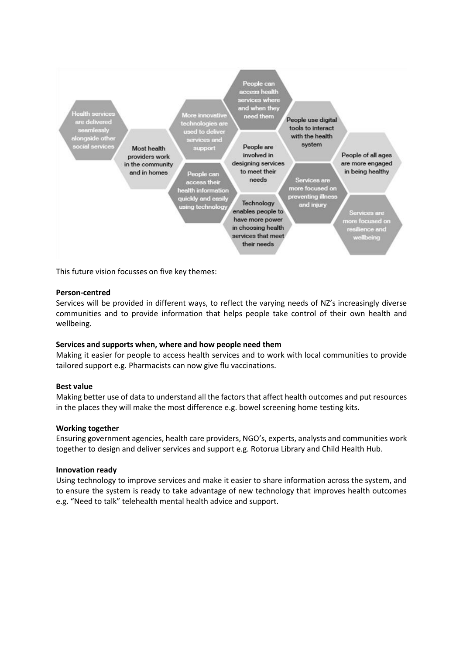

This future vision focusses on five key themes:

### **Person-centred**

Services will be provided in different ways, to reflect the varying needs of NZ's increasingly diverse communities and to provide information that helps people take control of their own health and wellbeing.

### **Services and supports when, where and how people need them**

Making it easier for people to access health services and to work with local communities to provide tailored support e.g. Pharmacists can now give flu vaccinations.

#### **Best value**

Making better use of data to understand all the factors that affect health outcomes and put resources in the places they will make the most difference e.g. bowel screening home testing kits.

#### **Working together**

Ensuring government agencies, health care providers, NGO's, experts, analysts and communities work together to design and deliver services and support e.g. Rotorua Library and Child Health Hub.

#### **Innovation ready**

Using technology to improve services and make it easier to share information across the system, and to ensure the system is ready to take advantage of new technology that improves health outcomes e.g. "Need to talk" telehealth mental health advice and support.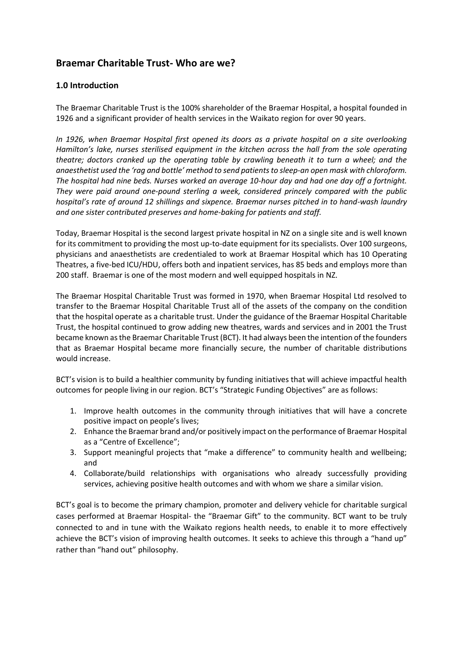# **Braemar Charitable Trust- Who are we?**

# **1.0 Introduction**

The Braemar Charitable Trust is the 100% shareholder of the Braemar Hospital, a hospital founded in 1926 and a significant provider of health services in the Waikato region for over 90 years.

*In 1926, when Braemar Hospital first opened its doors as a private hospital on a site overlooking Hamilton's lake, nurses sterilised equipment in the kitchen across the hall from the sole operating theatre; doctors cranked up the operating table by crawling beneath it to turn a wheel; and the anaesthetist used the 'rag and bottle' method to send patients to sleep-an open mask with chloroform. The hospital had nine beds. Nurses worked an average 10-hour day and had one day off a fortnight. They were paid around one-pound sterling a week, considered princely compared with the public hospital's rate of around 12 shillings and sixpence. Braemar nurses pitched in to hand-wash laundry and one sister contributed preserves and home-baking for patients and staff.*

Today, Braemar Hospital is the second largest private hospital in NZ on a single site and is well known for its commitment to providing the most up-to-date equipment for its specialists. Over 100 surgeons, physicians and anaesthetists are credentialed to work at Braemar Hospital which has 10 Operating Theatres, a five-bed ICU/HDU, offers both and inpatient services, has 85 beds and employs more than 200 staff. Braemar is one of the most modern and well equipped hospitals in NZ.

The Braemar Hospital Charitable Trust was formed in 1970, when Braemar Hospital Ltd resolved to transfer to the Braemar Hospital Charitable Trust all of the assets of the company on the condition that the hospital operate as a charitable trust. Under the guidance of the Braemar Hospital Charitable Trust, the hospital continued to grow adding new theatres, wards and services and in 2001 the Trust became known as the Braemar Charitable Trust (BCT). It had always been the intention of the founders that as Braemar Hospital became more financially secure, the number of charitable distributions would increase.

BCT's vision is to build a healthier community by funding initiatives that will achieve impactful health outcomes for people living in our region. BCT's "Strategic Funding Objectives" are as follows:

- 1. Improve health outcomes in the community through initiatives that will have a concrete positive impact on people's lives;
- 2. Enhance the Braemar brand and/or positively impact on the performance of Braemar Hospital as a "Centre of Excellence";
- 3. Support meaningful projects that "make a difference" to community health and wellbeing; and
- 4. Collaborate/build relationships with organisations who already successfully providing services, achieving positive health outcomes and with whom we share a similar vision.

BCT's goal is to become the primary champion, promoter and delivery vehicle for charitable surgical cases performed at Braemar Hospital- the "Braemar Gift" to the community. BCT want to be truly connected to and in tune with the Waikato regions health needs, to enable it to more effectively achieve the BCT's vision of improving health outcomes. It seeks to achieve this through a "hand up" rather than "hand out" philosophy.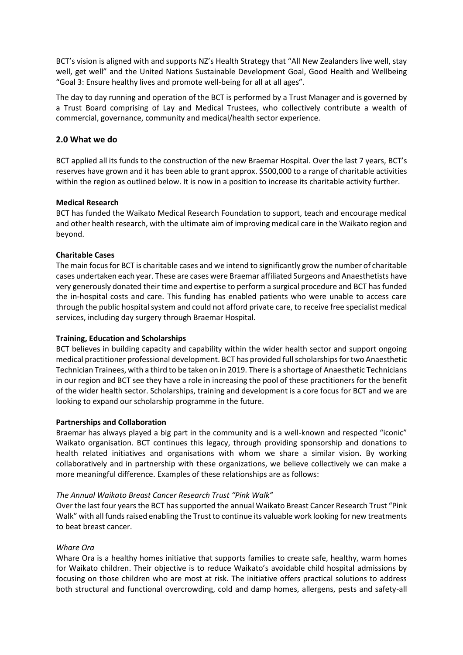BCT's vision is aligned with and supports NZ's Health Strategy that "All New Zealanders live well, stay well, get well" and the United Nations Sustainable Development Goal, Good Health and Wellbeing "Goal 3: Ensure healthy lives and promote well-being for all at all ages".

The day to day running and operation of the BCT is performed by a Trust Manager and is governed by a Trust Board comprising of Lay and Medical Trustees, who collectively contribute a wealth of commercial, governance, community and medical/health sector experience.

### **2.0 What we do**

BCT applied all its funds to the construction of the new Braemar Hospital. Over the last 7 years, BCT's reserves have grown and it has been able to grant approx. \$500,000 to a range of charitable activities within the region as outlined below. It is now in a position to increase its charitable activity further.

## **Medical Research**

BCT has funded the Waikato Medical Research Foundation to support, teach and encourage medical and other health research, with the ultimate aim of improving medical care in the Waikato region and beyond.

## **Charitable Cases**

The main focus for BCT is charitable cases and we intend to significantly grow the number of charitable cases undertaken each year. These are cases were Braemar affiliated Surgeons and Anaesthetists have very generously donated their time and expertise to perform a surgical procedure and BCT has funded the in-hospital costs and care. This funding has enabled patients who were unable to access care through the public hospital system and could not afford private care, to receive free specialist medical services, including day surgery through Braemar Hospital.

### **Training, Education and Scholarships**

BCT believes in building capacity and capability within the wider health sector and support ongoing medical practitioner professional development. BCT has provided full scholarships for two Anaesthetic Technician Trainees, with a third to be taken on in 2019. There is a shortage of Anaesthetic Technicians in our region and BCT see they have a role in increasing the pool of these practitioners for the benefit of the wider health sector. Scholarships, training and development is a core focus for BCT and we are looking to expand our scholarship programme in the future.

### **Partnerships and Collaboration**

Braemar has always played a big part in the community and is a well-known and respected "iconic" Waikato organisation. BCT continues this legacy, through providing sponsorship and donations to health related initiatives and organisations with whom we share a similar vision. By working collaboratively and in partnership with these organizations, we believe collectively we can make a more meaningful difference. Examples of these relationships are as follows:

### *The Annual Waikato Breast Cancer Research Trust "Pink Walk"*

Over the last four years the BCT hassupported the annual Waikato Breast Cancer Research Trust "Pink Walk" with all funds raised enabling the Trust to continue its valuable work looking for new treatments to beat breast cancer.

### *Whare Ora*

Whare Ora is a healthy homes initiative that supports families to create safe, healthy, warm homes for Waikato children. Their objective is to reduce Waikato's avoidable child hospital admissions by focusing on those children who are most at risk. The initiative offers practical solutions to address both structural and functional overcrowding, cold and damp homes, allergens, pests and safety-all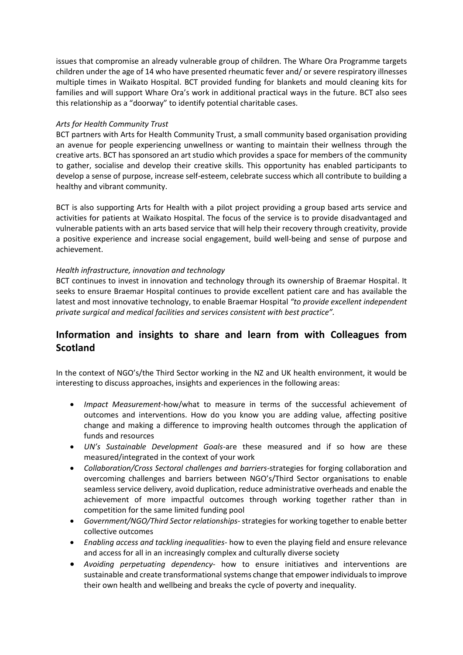issues that compromise an already vulnerable group of children. The Whare Ora Programme targets children under the age of 14 who have presented rheumatic fever and/ or severe respiratory illnesses multiple times in Waikato Hospital. BCT provided funding for blankets and mould cleaning kits for families and will support Whare Ora's work in additional practical ways in the future. BCT also sees this relationship as a "doorway" to identify potential charitable cases.

## *Arts for Health Community Trust*

BCT partners with Arts for Health Community Trust, a small community based organisation providing an avenue for people experiencing unwellness or wanting to maintain their wellness through the creative arts. BCT has sponsored an art studio which provides a space for members of the community to gather, socialise and develop their creative skills. This opportunity has enabled participants to develop a sense of purpose, increase self-esteem, celebrate success which all contribute to building a healthy and vibrant community.

BCT is also supporting Arts for Health with a pilot project providing a group based arts service and activities for patients at Waikato Hospital. The focus of the service is to provide disadvantaged and vulnerable patients with an arts based service that will help their recovery through creativity, provide a positive experience and increase social engagement, build well-being and sense of purpose and achievement.

# *Health infrastructure, innovation and technology*

BCT continues to invest in innovation and technology through its ownership of Braemar Hospital. It seeks to ensure Braemar Hospital continues to provide excellent patient care and has available the latest and most innovative technology, to enable Braemar Hospital *"to provide excellent independent private surgical and medical facilities and services consistent with best practice".* 

# **Information and insights to share and learn from with Colleagues from Scotland**

In the context of NGO's/the Third Sector working in the NZ and UK health environment, it would be interesting to discuss approaches, insights and experiences in the following areas:

- *Impact Measurement*-how/what to measure in terms of the successful achievement of outcomes and interventions. How do you know you are adding value, affecting positive change and making a difference to improving health outcomes through the application of funds and resources
- *UN's Sustainable Development Goals*-are these measured and if so how are these measured/integrated in the context of your work
- *Collaboration/Cross Sectoral challenges and barriers*-strategies for forging collaboration and overcoming challenges and barriers between NGO's/Third Sector organisations to enable seamless service delivery, avoid duplication, reduce administrative overheads and enable the achievement of more impactful outcomes through working together rather than in competition for the same limited funding pool
- *Government/NGO/Third Sector relationships*-strategies for working together to enable better collective outcomes
- *Enabling access and tackling inequalities* how to even the playing field and ensure relevance and access for all in an increasingly complex and culturally diverse society
- *Avoiding perpetuating dependency-* how to ensure initiatives and interventions are sustainable and create transformational systems change that empower individualsto improve their own health and wellbeing and breaks the cycle of poverty and inequality.